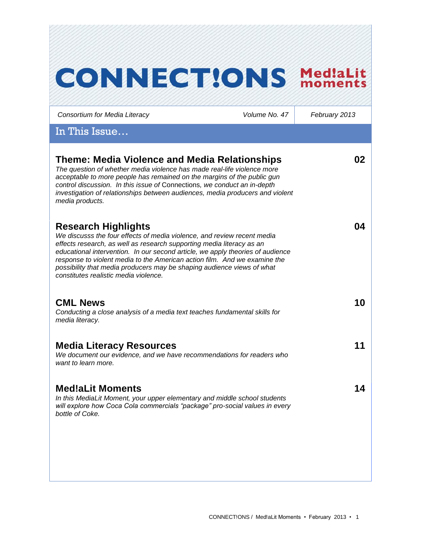| <b>CONNECTIONS</b>                                                                                                                                                                                                                                                                                                                                                                        | Med!aLit<br>moments |
|-------------------------------------------------------------------------------------------------------------------------------------------------------------------------------------------------------------------------------------------------------------------------------------------------------------------------------------------------------------------------------------------|---------------------|
| Volume No. 47                                                                                                                                                                                                                                                                                                                                                                             | February 2013       |
|                                                                                                                                                                                                                                                                                                                                                                                           |                     |
| Theme: Media Violence and Media Relationships<br>The question of whether media violence has made real-life violence more<br>acceptable to more people has remained on the margins of the public gun<br>control discussion. In this issue of Connections, we conduct an in-depth<br>investigation of relationships between audiences, media producers and violent                          | 02                  |
| We discusss the four effects of media violence, and review recent media<br>effects research, as well as research supporting media literacy as an<br>educational intervention. In our second article, we apply theories of audience<br>response to violent media to the American action film. And we examine the<br>possibility that media producers may be shaping audience views of what | 04                  |
| Conducting a close analysis of a media text teaches fundamental skills for                                                                                                                                                                                                                                                                                                                | 10                  |
| We document our evidence, and we have recommendations for readers who                                                                                                                                                                                                                                                                                                                     | 11                  |
| In this MediaLit Moment, your upper elementary and middle school students<br>will explore how Coca Cola commercials "package" pro-social values in every                                                                                                                                                                                                                                  | 14                  |
|                                                                                                                                                                                                                                                                                                                                                                                           |                     |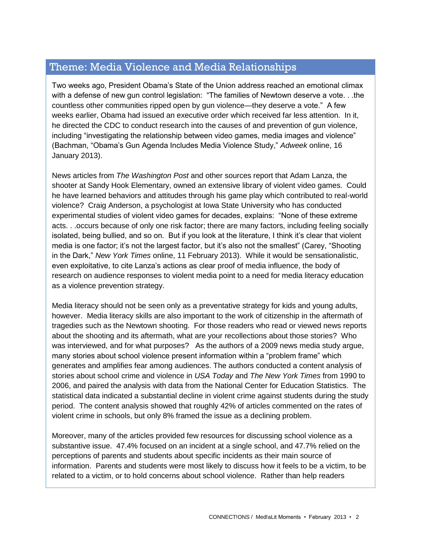# Theme: Media Violence and Media Relationships

Two weeks ago, President Obama's State of the Union address reached an emotional climax with a defense of new gun control legislation: "The families of Newtown deserve a vote... the countless other communities ripped open by gun violence—they deserve a vote." A few weeks earlier, Obama had issued an executive order which received far less attention. In it, he directed the CDC to conduct research into the causes of and prevention of gun violence, including "investigating the relationship between video games, media images and violence" (Bachman, "Obama's Gun Agenda Includes Media Violence Study," *Adweek* online, 16 January 2013).

News articles from *The Washington Post* and other sources report that Adam Lanza, the shooter at Sandy Hook Elementary, owned an extensive library of violent video games. Could he have learned behaviors and attitudes through his game play which contributed to real-world violence? Craig Anderson, a psychologist at Iowa State University who has conducted experimental studies of violent video games for decades, explains: "None of these extreme acts. . .occurs because of only one risk factor; there are many factors, including feeling socially isolated, being bullied, and so on. But if you look at the literature, I think it's clear that violent media is one factor; it's not the largest factor, but it's also not the smallest" (Carey, "Shooting in the Dark," *New York Times* online, 11 February 2013). While it would be sensationalistic, even exploitative, to cite Lanza's actions as clear proof of media influence, the body of research on audience responses to violent media point to a need for media literacy education as a violence prevention strategy.

Media literacy should not be seen only as a preventative strategy for kids and young adults, however. Media literacy skills are also important to the work of citizenship in the aftermath of tragedies such as the Newtown shooting. For those readers who read or viewed news reports about the shooting and its aftermath, what are your recollections about those stories? Who was interviewed, and for what purposes? As the authors of a 2009 news media study argue, many stories about school violence present information within a "problem frame" which generates and amplifies fear among audiences. The authors conducted a content analysis of stories about school crime and violence in *USA Today* and *The New York Times* from 1990 to 2006, and paired the analysis with data from the National Center for Education Statistics. The statistical data indicated a substantial decline in violent crime against students during the study period. The content analysis showed that roughly 42% of articles commented on the rates of violent crime in schools, but only 8% framed the issue as a declining problem.

Moreover, many of the articles provided few resources for discussing school violence as a substantive issue. 47.4% focused on an incident at a single school, and 47.7% relied on the perceptions of parents and students about specific incidents as their main source of information. Parents and students were most likely to discuss how it feels to be a victim, to be related to a victim, or to hold concerns about school violence. Rather than help readers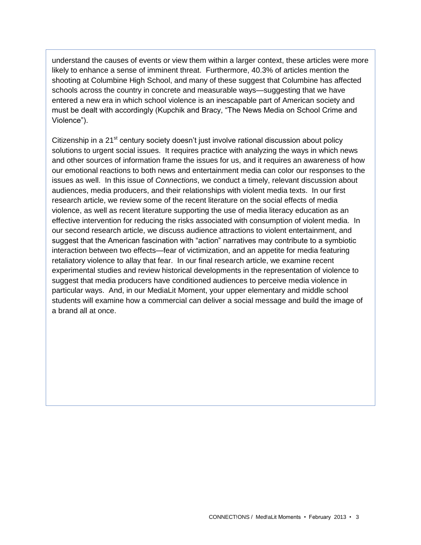understand the causes of events or view them within a larger context, these articles were more likely to enhance a sense of imminent threat. Furthermore, 40.3% of articles mention the shooting at Columbine High School, and many of these suggest that Columbine has affected schools across the country in concrete and measurable ways—suggesting that we have entered a new era in which school violence is an inescapable part of American society and must be dealt with accordingly (Kupchik and Bracy, "The News Media on School Crime and Violence").

Citizenship in a  $21^{st}$  century society doesn't just involve rational discussion about policy solutions to urgent social issues. It requires practice with analyzing the ways in which news and other sources of information frame the issues for us, and it requires an awareness of how our emotional reactions to both news and entertainment media can color our responses to the issues as well. In this issue of *Connections*, we conduct a timely, relevant discussion about audiences, media producers, and their relationships with violent media texts. In our first research article, we review some of the recent literature on the social effects of media violence, as well as recent literature supporting the use of media literacy education as an effective intervention for reducing the risks associated with consumption of violent media. In our second research article, we discuss audience attractions to violent entertainment, and suggest that the American fascination with "action" narratives may contribute to a symbiotic interaction between two effects—fear of victimization, and an appetite for media featuring retaliatory violence to allay that fear. In our final research article, we examine recent experimental studies and review historical developments in the representation of violence to suggest that media producers have conditioned audiences to perceive media violence in particular ways. And, in our MediaLit Moment, your upper elementary and middle school students will examine how a commercial can deliver a social message and build the image of a brand all at once.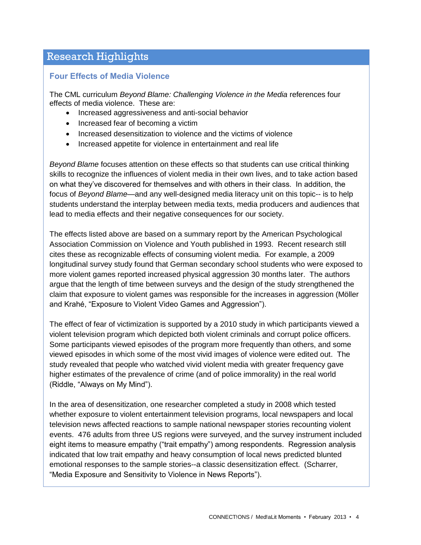# Research Highlights

## **Four Effects of Media Violence**

The CML curriculum *Beyond Blame: Challenging Violence in the Media* references four effects of media violence. These are:

- Increased aggressiveness and anti-social behavior
- Increased fear of becoming a victim
- Increased desensitization to violence and the victims of violence
- Increased appetite for violence in entertainment and real life

*Beyond Blame* focuses attention on these effects so that students can use critical thinking skills to recognize the influences of violent media in their own lives, and to take action based on what they've discovered for themselves and with others in their class. In addition, the focus of *Beyond Blame—*and any well-designed media literacy unit on this topic-- is to help students understand the interplay between media texts, media producers and audiences that lead to media effects and their negative consequences for our society.

The effects listed above are based on a summary report by the American Psychological Association Commission on Violence and Youth published in 1993. Recent research still cites these as recognizable effects of consuming violent media. For example, a 2009 longitudinal survey study found that German secondary school students who were exposed to more violent games reported increased physical aggression 30 months later. The authors argue that the length of time between surveys and the design of the study strengthened the claim that exposure to violent games was responsible for the increases in aggression (Möller and Krahé, "Exposure to Violent Video Games and Aggression").

The effect of fear of victimization is supported by a 2010 study in which participants viewed a violent television program which depicted both violent criminals and corrupt police officers. Some participants viewed episodes of the program more frequently than others, and some viewed episodes in which some of the most vivid images of violence were edited out. The study revealed that people who watched vivid violent media with greater frequency gave higher estimates of the prevalence of crime (and of police immorality) in the real world (Riddle, "Always on My Mind").

In the area of desensitization, one researcher completed a study in 2008 which tested whether exposure to violent entertainment television programs, local newspapers and local television news affected reactions to sample national newspaper stories recounting violent events. 476 adults from three US regions were surveyed, and the survey instrument included eight items to measure empathy ("trait empathy") among respondents. Regression analysis indicated that low trait empathy and heavy consumption of local news predicted blunted emotional responses to the sample stories--a classic desensitization effect. (Scharrer, "Media Exposure and Sensitivity to Violence in News Reports").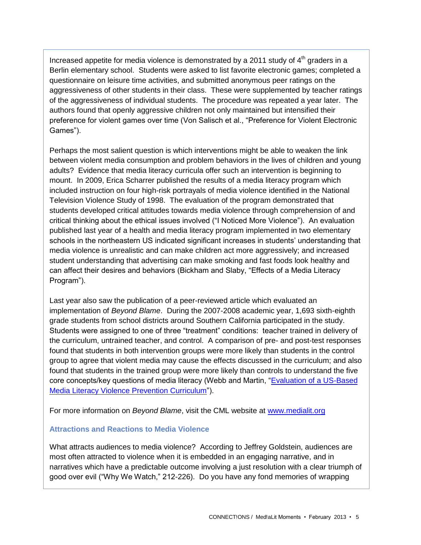Increased appetite for media violence is demonstrated by a 2011 study of  $4<sup>th</sup>$  graders in a Berlin elementary school. Students were asked to list favorite electronic games; completed a questionnaire on leisure time activities, and submitted anonymous peer ratings on the aggressiveness of other students in their class. These were supplemented by teacher ratings of the aggressiveness of individual students. The procedure was repeated a year later. The authors found that openly aggressive children not only maintained but intensified their preference for violent games over time (Von Salisch et al., "Preference for Violent Electronic Games").

Perhaps the most salient question is which interventions might be able to weaken the link between violent media consumption and problem behaviors in the lives of children and young adults? Evidence that media literacy curricula offer such an intervention is beginning to mount. In 2009, Erica Scharrer published the results of a media literacy program which included instruction on four high-risk portrayals of media violence identified in the National Television Violence Study of 1998. The evaluation of the program demonstrated that students developed critical attitudes towards media violence through comprehension of and critical thinking about the ethical issues involved ("I Noticed More Violence"). An evaluation published last year of a health and media literacy program implemented in two elementary schools in the northeastern US indicated significant increases in students' understanding that media violence is unrealistic and can make children act more aggressively; and increased student understanding that advertising can make smoking and fast foods look healthy and can affect their desires and behaviors (Bickham and Slaby, "Effects of a Media Literacy Program").

Last year also saw the publication of a peer-reviewed article which evaluated an implementation of *Beyond Blame*. During the 2007-2008 academic year, 1,693 sixth-eighth grade students from school districts around Southern California participated in the study. Students were assigned to one of three "treatment" conditions: teacher trained in delivery of the curriculum, untrained teacher, and control. A comparison of pre- and post-test responses found that students in both intervention groups were more likely than students in the control group to agree that violent media may cause the effects discussed in the curriculum; and also found that students in the trained group were more likely than controls to understand the five core concepts/key questions of media literacy (Webb and Martin, ["Evaluation of a US-Based](http://www.tandfonline.com/doi/abs/10.1080/17482798.2012.724591)  [Media Literacy Violence Prevention Curriculum"](http://www.tandfonline.com/doi/abs/10.1080/17482798.2012.724591)).

For more information on *Beyond Blame*, visit the CML website at [www.medialit.org](http://www.medialit.org/)

#### **Attractions and Reactions to Media Violence**

What attracts audiences to media violence? According to Jeffrey Goldstein, audiences are most often attracted to violence when it is embedded in an engaging narrative, and in narratives which have a predictable outcome involving a just resolution with a clear triumph of good over evil ("Why We Watch," 212-226). Do you have any fond memories of wrapping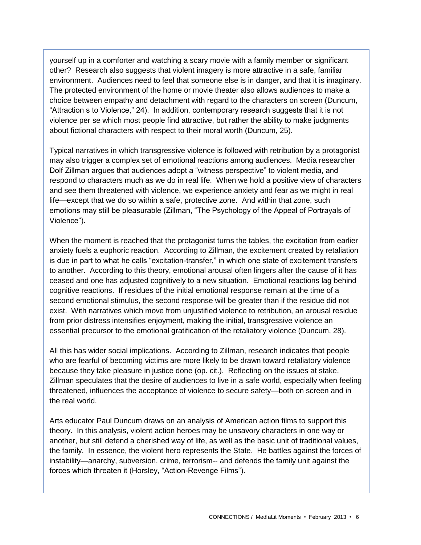yourself up in a comforter and watching a scary movie with a family member or significant other? Research also suggests that violent imagery is more attractive in a safe, familiar environment. Audiences need to feel that someone else is in danger, and that it is imaginary. The protected environment of the home or movie theater also allows audiences to make a choice between empathy and detachment with regard to the characters on screen (Duncum, "Attraction s to Violence," 24). In addition, contemporary research suggests that it is not violence per se which most people find attractive, but rather the ability to make judgments about fictional characters with respect to their moral worth (Duncum, 25).

Typical narratives in which transgressive violence is followed with retribution by a protagonist may also trigger a complex set of emotional reactions among audiences. Media researcher Dolf Zillman argues that audiences adopt a "witness perspective" to violent media, and respond to characters much as we do in real life. When we hold a positive view of characters and see them threatened with violence, we experience anxiety and fear as we might in real life—except that we do so within a safe, protective zone. And within that zone, such emotions may still be pleasurable (Zillman, "The Psychology of the Appeal of Portrayals of Violence").

When the moment is reached that the protagonist turns the tables, the excitation from earlier anxiety fuels a euphoric reaction. According to Zillman, the excitement created by retaliation is due in part to what he calls "excitation-transfer," in which one state of excitement transfers to another. According to this theory, emotional arousal often lingers after the cause of it has ceased and one has adjusted cognitively to a new situation. Emotional reactions lag behind cognitive reactions. If residues of the initial emotional response remain at the time of a second emotional stimulus, the second response will be greater than if the residue did not exist. With narratives which move from unjustified violence to retribution, an arousal residue from prior distress intensifies enjoyment, making the initial, transgressive violence an essential precursor to the emotional gratification of the retaliatory violence (Duncum, 28).

All this has wider social implications. According to Zillman, research indicates that people who are fearful of becoming victims are more likely to be drawn toward retaliatory violence because they take pleasure in justice done (op. cit.). Reflecting on the issues at stake, Zillman speculates that the desire of audiences to live in a safe world, especially when feeling threatened, influences the acceptance of violence to secure safety—both on screen and in the real world.

Arts educator Paul Duncum draws on an analysis of American action films to support this theory. In this analysis, violent action heroes may be unsavory characters in one way or another, but still defend a cherished way of life, as well as the basic unit of traditional values, the family. In essence, the violent hero represents the State. He battles against the forces of instability—anarchy, subversion, crime, terrorism-- and defends the family unit against the forces which threaten it (Horsley, "Action-Revenge Films").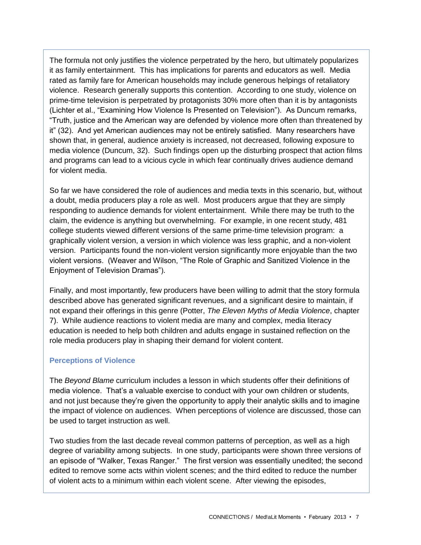The formula not only justifies the violence perpetrated by the hero, but ultimately popularizes it as family entertainment. This has implications for parents and educators as well. Media rated as family fare for American households may include generous helpings of retaliatory violence. Research generally supports this contention. According to one study, violence on prime-time television is perpetrated by protagonists 30% more often than it is by antagonists (Lichter et al., "Examining How Violence Is Presented on Television"). As Duncum remarks, "Truth, justice and the American way are defended by violence more often than threatened by it" (32). And yet American audiences may not be entirely satisfied. Many researchers have shown that, in general, audience anxiety is increased, not decreased, following exposure to media violence (Duncum, 32). Such findings open up the disturbing prospect that action films and programs can lead to a vicious cycle in which fear continually drives audience demand for violent media.

So far we have considered the role of audiences and media texts in this scenario, but, without a doubt, media producers play a role as well. Most producers argue that they are simply responding to audience demands for violent entertainment. While there may be truth to the claim, the evidence is anything but overwhelming. For example, in one recent study, 481 college students viewed different versions of the same prime-time television program: a graphically violent version, a version in which violence was less graphic, and a non-violent version. Participants found the non-violent version significantly more enjoyable than the two violent versions. (Weaver and Wilson, "The Role of Graphic and Sanitized Violence in the Enjoyment of Television Dramas").

Finally, and most importantly, few producers have been willing to admit that the story formula described above has generated significant revenues, and a significant desire to maintain, if not expand their offerings in this genre (Potter, *The Eleven Myths of Media Violence*, chapter 7). While audience reactions to violent media are many and complex, media literacy education is needed to help both children and adults engage in sustained reflection on the role media producers play in shaping their demand for violent content.

## **Perceptions of Violence**

The *Beyond Blame* curriculum includes a lesson in which students offer their definitions of media violence. That's a valuable exercise to conduct with your own children or students, and not just because they're given the opportunity to apply their analytic skills and to imagine the impact of violence on audiences. When perceptions of violence are discussed, those can be used to target instruction as well.

Two studies from the last decade reveal common patterns of perception, as well as a high degree of variability among subjects. In one study, participants were shown three versions of an episode of "Walker, Texas Ranger." The first version was essentially unedited; the second edited to remove some acts within violent scenes; and the third edited to reduce the number of violent acts to a minimum within each violent scene. After viewing the episodes,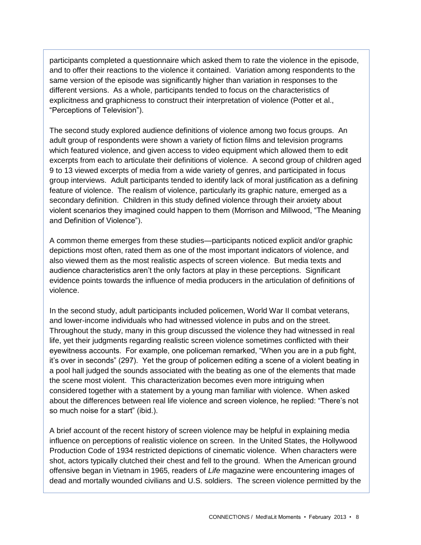participants completed a questionnaire which asked them to rate the violence in the episode, and to offer their reactions to the violence it contained. Variation among respondents to the same version of the episode was significantly higher than variation in responses to the different versions. As a whole, participants tended to focus on the characteristics of explicitness and graphicness to construct their interpretation of violence (Potter et al., "Perceptions of Television").

The second study explored audience definitions of violence among two focus groups. An adult group of respondents were shown a variety of fiction films and television programs which featured violence, and given access to video equipment which allowed them to edit excerpts from each to articulate their definitions of violence. A second group of children aged 9 to 13 viewed excerpts of media from a wide variety of genres, and participated in focus group interviews. Adult participants tended to identify lack of moral justification as a defining feature of violence. The realism of violence, particularly its graphic nature, emerged as a secondary definition. Children in this study defined violence through their anxiety about violent scenarios they imagined could happen to them (Morrison and Millwood, "The Meaning and Definition of Violence").

A common theme emerges from these studies—participants noticed explicit and/or graphic depictions most often, rated them as one of the most important indicators of violence, and also viewed them as the most realistic aspects of screen violence. But media texts and audience characteristics aren't the only factors at play in these perceptions. Significant evidence points towards the influence of media producers in the articulation of definitions of violence.

In the second study, adult participants included policemen, World War II combat veterans, and lower-income individuals who had witnessed violence in pubs and on the street. Throughout the study, many in this group discussed the violence they had witnessed in real life, yet their judgments regarding realistic screen violence sometimes conflicted with their eyewitness accounts. For example, one policeman remarked, "When you are in a pub fight, it's over in seconds" (297). Yet the group of policemen editing a scene of a violent beating in a pool hall judged the sounds associated with the beating as one of the elements that made the scene most violent. This characterization becomes even more intriguing when considered together with a statement by a young man familiar with violence. When asked about the differences between real life violence and screen violence, he replied: "There's not so much noise for a start" (ibid.).

A brief account of the recent history of screen violence may be helpful in explaining media influence on perceptions of realistic violence on screen. In the United States, the Hollywood Production Code of 1934 restricted depictions of cinematic violence. When characters were shot, actors typically clutched their chest and fell to the ground. When the American ground offensive began in Vietnam in 1965, readers of *Life* magazine were encountering images of dead and mortally wounded civilians and U.S. soldiers. The screen violence permitted by the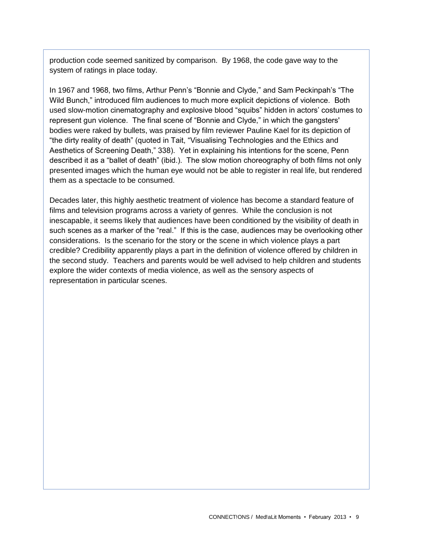production code seemed sanitized by comparison. By 1968, the code gave way to the system of ratings in place today.

In 1967 and 1968, two films, Arthur Penn's "Bonnie and Clyde," and Sam Peckinpah's "The Wild Bunch," introduced film audiences to much more explicit depictions of violence. Both used slow-motion cinematography and explosive blood "squibs" hidden in actors' costumes to represent gun violence. The final scene of "Bonnie and Clyde," in which the gangsters' bodies were raked by bullets, was praised by film reviewer Pauline Kael for its depiction of "the dirty reality of death" (quoted in Tait, "Visualising Technologies and the Ethics and Aesthetics of Screening Death," 338). Yet in explaining his intentions for the scene, Penn described it as a "ballet of death" (ibid.). The slow motion choreography of both films not only presented images which the human eye would not be able to register in real life, but rendered them as a spectacle to be consumed.

Decades later, this highly aesthetic treatment of violence has become a standard feature of films and television programs across a variety of genres. While the conclusion is not inescapable, it seems likely that audiences have been conditioned by the visibility of death in such scenes as a marker of the "real." If this is the case, audiences may be overlooking other considerations. Is the scenario for the story or the scene in which violence plays a part credible? Credibility apparently plays a part in the definition of violence offered by children in the second study. Teachers and parents would be well advised to help children and students explore the wider contexts of media violence, as well as the sensory aspects of representation in particular scenes.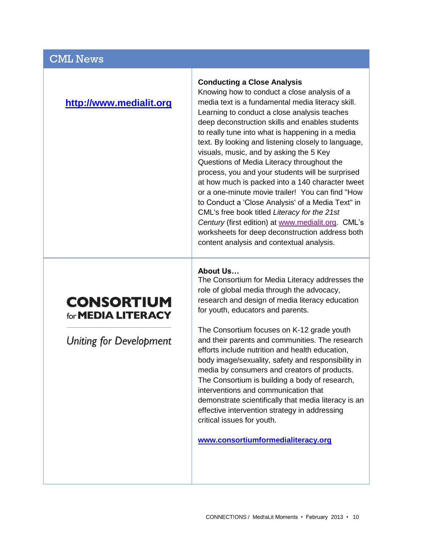## CML News

## **[http://www.medialit.org](http://www.medialit.org/)**

#### **Conducting a Close Analysis**

Knowing how to conduct a close analysis of a media text is a fundamental media literacy skill. Learning to conduct a close analysis teaches deep deconstruction skills and enables students to really tune into what is happening in a media text. By looking and listening closely to language, visuals, music, and by asking the 5 Key Questions of Media Literacy throughout the process, you and your students will be surprised at how much is packed into a 140 character tweet or a one-minute movie trailer! You can find "How to Conduct a 'Close Analysis' of a Media Text" in CML's free book titled *Literacy for the 21st Century* (first edition) at [www.medialit.org.](http://www.medialit.org/) CML's worksheets for deep deconstruction address both content analysis and contextual analysis.

## **About Us…**

The Consortium for Media Literacy addresses the role of global media through the advocacy, research and design of media literacy education for youth, educators and parents.

The Consortium focuses on K-12 grade youth and their parents and communities. The research efforts include nutrition and health education, body image/sexuality, safety and responsibility in media by consumers and creators of products. The Consortium is building a body of research, interventions and communication that demonstrate scientifically that media literacy is an effective intervention strategy in addressing critical issues for youth.

**[www.consortiumformedialiteracy.org](file:///C:/Users/BethanyT/Documents/www.consortiumformedialiteracy.org)**

# **CONSORTIUM** for **MEDIA LITERACY**

**Uniting for Development**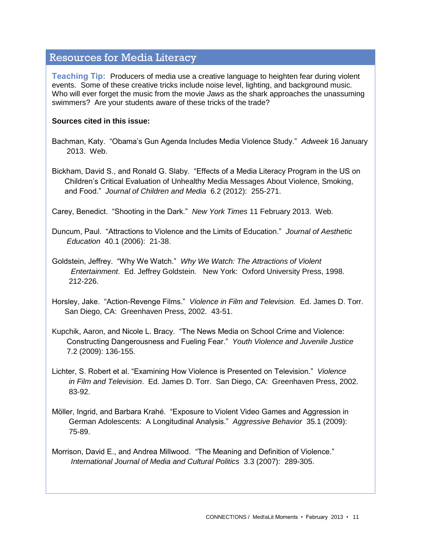## Resources for Media Literacy

**Teaching Tip:** Producers of media use a creative language to heighten fear during violent events. Some of these creative tricks include noise level, lighting, and background music. Who will ever forget the music from the movie *Jaws* as the shark approaches the unassuming swimmers? Are your students aware of these tricks of the trade?

#### **Sources cited in this issue:**

- Bachman, Katy. "Obama's Gun Agenda Includes Media Violence Study." *Adweek* 16 January 2013. Web.
- Bickham, David S., and Ronald G. Slaby. "Effects of a Media Literacy Program in the US on Children's Critical Evaluation of Unhealthy Media Messages About Violence, Smoking, and Food." *Journal of Children and Media* 6.2 (2012): 255-271.

Carey, Benedict. "Shooting in the Dark." *New York Times* 11 February 2013. Web.

Duncum, Paul. "Attractions to Violence and the Limits of Education." *Journal of Aesthetic Education* 40.1 (2006): 21-38.

Goldstein, Jeffrey. "Why We Watch." *Why We Watch: The Attractions of Violent Entertainment*. Ed. Jeffrey Goldstein. New York: Oxford University Press, 1998. 212-226.

Horsley, Jake. "Action-Revenge Films." *Violence in Film and Television.* Ed. James D. Torr. San Diego, CA: Greenhaven Press, 2002. 43-51.

- Kupchik, Aaron, and Nicole L. Bracy. "The News Media on School Crime and Violence: Constructing Dangerousness and Fueling Fear." *Youth Violence and Juvenile Justice* 7.2 (2009): 136-155.
- Lichter, S. Robert et al. "Examining How Violence is Presented on Television." *Violence in Film and Television*. Ed. James D. Torr. San Diego, CA: Greenhaven Press, 2002. 83-92.
- Möller, Ingrid, and Barbara Krahé. "Exposure to Violent Video Games and Aggression in German Adolescents: A Longitudinal Analysis." *Aggressive Behavior* 35.1 (2009): 75-89.
- Morrison, David E., and Andrea Millwood. "The Meaning and Definition of Violence." *International Journal of Media and Cultural Politics* 3.3 (2007): 289-305.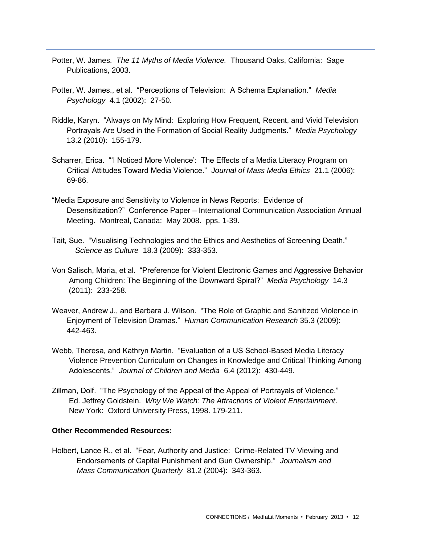- Potter, W. James. *The 11 Myths of Media Violence.* Thousand Oaks, California: Sage Publications, 2003.
- Potter, W. James., et al. "Perceptions of Television: A Schema Explanation." *Media Psychology* 4.1 (2002): 27-50.
- Riddle, Karyn. "Always on My Mind: Exploring How Frequent, Recent, and Vivid Television Portrayals Are Used in the Formation of Social Reality Judgments." *Media Psychology* 13.2 (2010): 155-179.
- Scharrer, Erica. "'I Noticed More Violence': The Effects of a Media Literacy Program on Critical Attitudes Toward Media Violence." *Journal of Mass Media Ethics* 21.1 (2006): 69-86.
- "Media Exposure and Sensitivity to Violence in News Reports: Evidence of Desensitization?" Conference Paper – International Communication Association Annual Meeting. Montreal, Canada: May 2008. pps. 1-39.
- Tait, Sue. "Visualising Technologies and the Ethics and Aesthetics of Screening Death." *Science as Culture* 18.3 (2009): 333-353.
- Von Salisch, Maria, et al. "Preference for Violent Electronic Games and Aggressive Behavior Among Children: The Beginning of the Downward Spiral?" *Media Psychology* 14.3 (2011): 233-258.
- Weaver, Andrew J., and Barbara J. Wilson. "The Role of Graphic and Sanitized Violence in Enjoyment of Television Dramas." *Human Communication Research* 35.3 (2009): 442-463.
- Webb, Theresa, and Kathryn Martin. "Evaluation of a US School-Based Media Literacy Violence Prevention Curriculum on Changes in Knowledge and Critical Thinking Among Adolescents." *Journal of Children and Media* 6.4 (2012): 430-449.
- Zillman, Dolf. "The Psychology of the Appeal of the Appeal of Portrayals of Violence." Ed. Jeffrey Goldstein. *Why We Watch: The Attractions of Violent Entertainment*. New York: Oxford University Press, 1998. 179-211.

## **Other Recommended Resources:**

Holbert, Lance R., et al. "Fear, Authority and Justice: Crime-Related TV Viewing and Endorsements of Capital Punishment and Gun Ownership." *Journalism and Mass Communication Quarterly* 81.2 (2004): 343-363.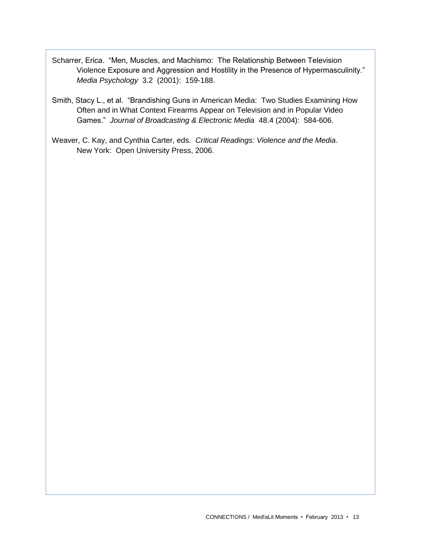- Scharrer, Erica. "Men, Muscles, and Machismo: The Relationship Between Television Violence Exposure and Aggression and Hostility in the Presence of Hypermasculinity." *Media Psychology* 3.2 (2001): 159-188.
- Smith, Stacy L., et al. "Brandishing Guns in American Media: Two Studies Examining How Often and in What Context Firearms Appear on Television and in Popular Video Games." *Journal of Broadcasting & Electronic Media* 48.4 (2004): 584-606.
- Weaver, C. Kay, and Cynthia Carter, eds. *Critical Readings: Violence and the Media*. New York: Open University Press, 2006.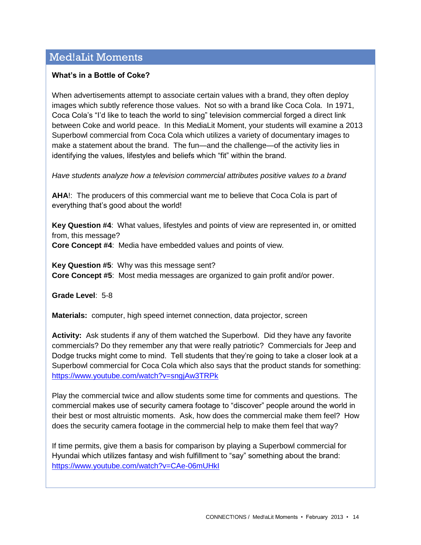# Med!aLit Moments

#### **What's in a Bottle of Coke?**

When advertisements attempt to associate certain values with a brand, they often deploy images which subtly reference those values. Not so with a brand like Coca Cola. In 1971, Coca Cola's "I'd like to teach the world to sing" television commercial forged a direct link between Coke and world peace. In this MediaLit Moment, your students will examine a 2013 Superbowl commercial from Coca Cola which utilizes a variety of documentary images to make a statement about the brand. The fun—and the challenge—of the activity lies in identifying the values, lifestyles and beliefs which "fit" within the brand.

*Have students analyze how a television commercial attributes positive values to a brand* 

**AHA**!: The producers of this commercial want me to believe that Coca Cola is part of everything that's good about the world!

**Key Question #4**: What values, lifestyles and points of view are represented in, or omitted from, this message?

**Core Concept #4**: Media have embedded values and points of view.

**Key Question #5**: Why was this message sent? **Core Concept #5**: Most media messages are organized to gain profit and/or power.

**Grade Level**: 5-8

**Materials:** computer, high speed internet connection, data projector, screen

**Activity:** Ask students if any of them watched the Superbowl. Did they have any favorite commercials? Do they remember any that were really patriotic? Commercials for Jeep and Dodge trucks might come to mind. Tell students that they're going to take a closer look at a Superbowl commercial for Coca Cola which also says that the product stands for something: <https://www.youtube.com/watch?v=sngjAw3TRPk>

Play the commercial twice and allow students some time for comments and questions. The commercial makes use of security camera footage to "discover" people around the world in their best or most altruistic moments. Ask, how does the commercial make them feel? How does the security camera footage in the commercial help to make them feel that way?

If time permits, give them a basis for comparison by playing a Superbowl commercial for Hyundai which utilizes fantasy and wish fulfillment to "say" something about the brand: <https://www.youtube.com/watch?v=CAe-06mUHkI>